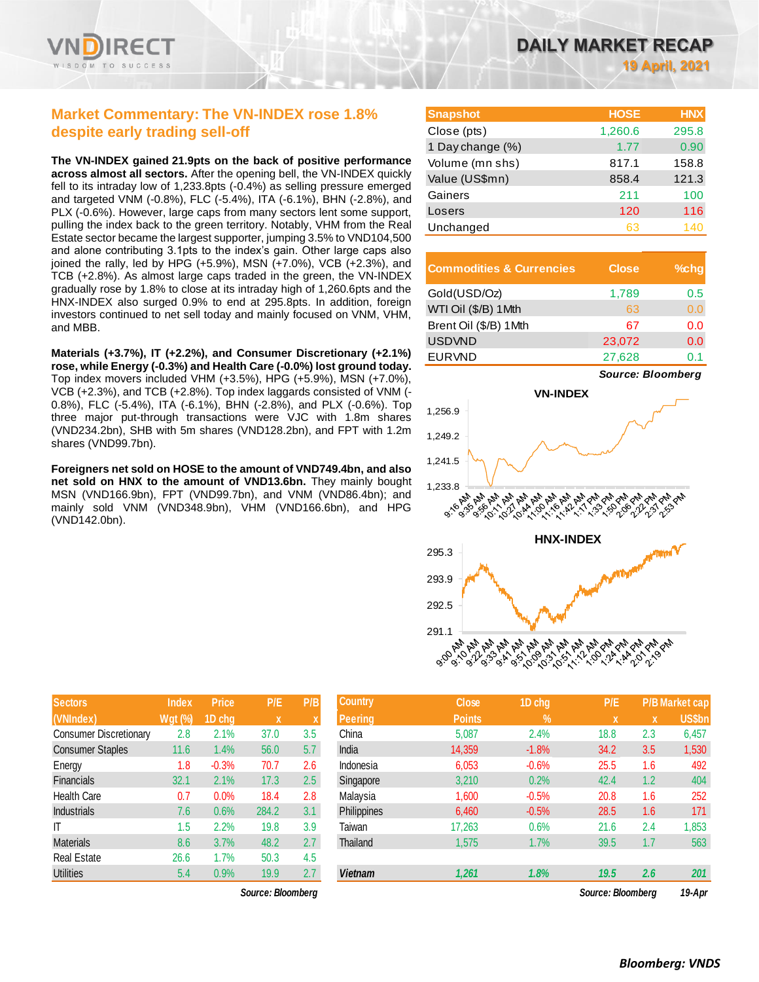

## **Market Commentary: The VN-INDEX rose 1.8% despite early trading sell-off**

**The VN-INDEX gained 21.9pts on the back of positive performance across almost all sectors.** After the opening bell, the VN-INDEX quickly fell to its intraday low of 1,233.8pts (-0.4%) as selling pressure emerged and targeted VNM (-0.8%), FLC (-5.4%), ITA (-6.1%), BHN (-2.8%), and PLX (-0.6%). However, large caps from many sectors lent some support, pulling the index back to the green territory. Notably, VHM from the Real Estate sector became the largest supporter, jumping 3.5% to VND104,500 and alone contributing 3.1pts to the index's gain. Other large caps also joined the rally, led by HPG (+5.9%), MSN (+7.0%), VCB (+2.3%), and TCB (+2.8%). As almost large caps traded in the green, the VN-INDEX gradually rose by 1.8% to close at its intraday high of 1,260.6pts and the HNX-INDEX also surged 0.9% to end at 295.8pts. In addition, foreign investors continued to net sell today and mainly focused on VNM, VHM, and MBB.

**Materials (+3.7%), IT (+2.2%), and Consumer Discretionary (+2.1%) rose, while Energy (-0.3%) and Health Care (-0.0%) lost ground today.**  Top index movers included VHM (+3.5%), HPG (+5.9%), MSN (+7.0%), VCB (+2.3%), and TCB (+2.8%). Top index laggards consisted of VNM (- 0.8%), FLC (-5.4%), ITA (-6.1%), BHN (-2.8%), and PLX (-0.6%). Top three major put-through transactions were VJC with 1.8m shares (VND234.2bn), SHB with 5m shares (VND128.2bn), and FPT with 1.2m shares (VND99.7bn).

**Foreigners net sold on HOSE to the amount of VND749.4bn, and also net sold on HNX to the amount of VND13.6bn.** They mainly bought MSN (VND166.9bn), FPT (VND99.7bn), and VNM (VND86.4bn); and mainly sold VNM (VND348.9bn), VHM (VND166.6bn), and HPG (VND142.0bn).

| <b>Sectors</b>                | <b>Index</b>   | <b>Price</b> | P/E         | P/B |
|-------------------------------|----------------|--------------|-------------|-----|
| (VNIndex)                     | <b>Wgt</b> (%) | 1D chg       | $\mathbf x$ | X   |
| <b>Consumer Discretionary</b> | 2.8            | 2.1%         | 37.0        | 3.5 |
| <b>Consumer Staples</b>       | 11.6           | 1.4%         | 56.0        | 5.7 |
| Energy                        | 1.8            | $-0.3%$      | 70.7        | 2.6 |
| Financials                    | 32.1           | 2.1%         | 17.3        | 2.5 |
| <b>Health Care</b>            | 0.7            | 0.0%         | 18.4        | 2.8 |
| <b>Industrials</b>            | 7.6            | 0.6%         | 284.2       | 3.1 |
| IT                            | 1.5            | 2.2%         | 19.8        | 3.9 |
| <b>Materials</b>              | 8.6            | 3.7%         | 48.2        | 2.7 |
| <b>Real Estate</b>            | 26.6           | 1.7%         | 50.3        | 4.5 |
| <b>Utilities</b>              | 5.4            | 0.9%         | 19.9        | 2.7 |

 $Source: Bloomberg$ 

| <b>Snapshot</b>  | <b>HOSE</b> | <b>HNX</b> |
|------------------|-------------|------------|
| Close (pts)      | 1,260.6     | 295.8      |
| 1 Day change (%) | 1.77        | 0.90       |
| Volume (mn shs)  | 817.1       | 158.8      |
| Value (US\$mn)   | 858.4       | 121.3      |
| Gainers          | 211         | 100        |
| Losers           | 120         | 116        |
| Unchanged        | 63          | 140        |

| <b>Commodities &amp; Currencies</b> | <b>Close</b> | $%$ chg |
|-------------------------------------|--------------|---------|
| Gold(USD/Oz)                        | 1,789        | 0.5     |
| WTI Oil (\$/B) 1Mth                 | 63           | 0.0     |
| Brent Oil (\$/B) 1Mth               | 67           | 0.0     |
| <b>USDVND</b>                       | 23,072       | 0.0     |
| <b>EURVND</b>                       | 27,628       |         |



| <b>Sectors</b>                | <b>Index</b>   | <b>Price</b> | P/E               | P/B | <b>Country</b> | <b>Close</b>  | 1D chg  | P/E               |             | <b>P/B Market cap</b> |
|-------------------------------|----------------|--------------|-------------------|-----|----------------|---------------|---------|-------------------|-------------|-----------------------|
| (VNIndex)                     | <b>Wgt (%)</b> | 1D chg       | $\mathbf x$       |     | <b>Peering</b> | <b>Points</b> | $\%$    | x                 | $\mathbf x$ | <b>US\$bn</b>         |
| <b>Consumer Discretionary</b> | 2.8            | 2.1%         | 37.0              | 3.5 | China          | 5,087         | 2.4%    | 18.8              | 2.3         | 6,457                 |
| <b>Consumer Staples</b>       | 11.6           | 1.4%         | 56.0              | 5.7 | India          | 14.359        | $-1.8%$ | 34.2              | 3.5         | 1,530                 |
| Energy                        | 1.8            | $-0.3%$      | 70.7              | 2.6 | Indonesia      | 6,053         | $-0.6%$ | 25.5              | 1.6         | 492                   |
| Financials                    | 32.1           | 2.1%         | 17.3              | 2.5 | Singapore      | 3,210         | 0.2%    | 42.4              | 1.2         | 404                   |
| Health Care                   | 0.7            | 0.0%         | 18.4              | 2.8 | Malaysia       | 1,600         | $-0.5%$ | 20.8              | 1.6         | 252                   |
| <b>Industrials</b>            | 7.6            | 0.6%         | 284.2             | 3.1 | Philippines    | 6,460         | $-0.5%$ | 28.5              | 1.6         | 171                   |
| IΤ                            | 1.5            | 2.2%         | 19.8              | 3.9 | Taiwan         | 17,263        | 0.6%    | 21.6              | 2.4         | 1,853                 |
| Materials                     | 8.6            | 3.7%         | 48.2              | 2.7 | Thailand       | 1,575         | 1.7%    | 39.5              | 1.7         | 563                   |
| Real Estate                   | 26.6           | 1.7%         | 50.3              | 4.5 |                |               |         |                   |             |                       |
| Utilities                     | 5.4            | 0.9%         | 19.9              | 2.7 | <b>Vietnam</b> | 1,261         | 1.8%    | 19.5              | 2.6         | 201                   |
|                               |                |              | Source: Bloomberg |     |                |               |         | Source: Bloombera |             | 19-Apr                |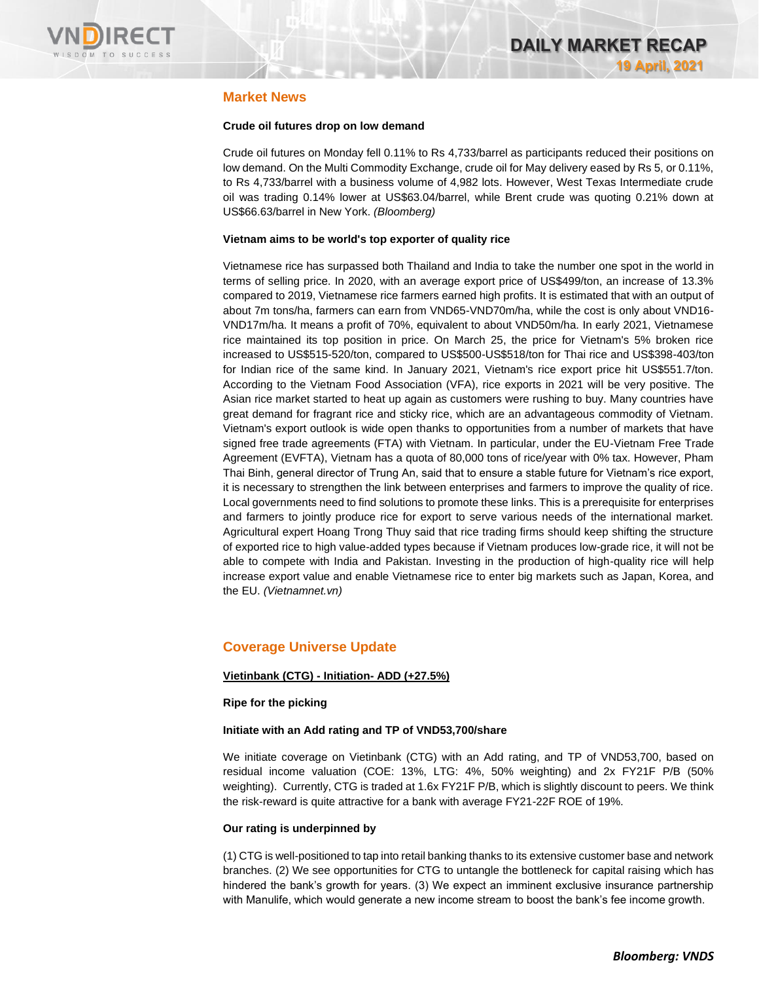

## **Market News**

## **Crude oil futures drop on low demand**

Crude oil futures on Monday fell 0.11% to Rs 4,733/barrel as participants reduced their positions on low demand. On the Multi Commodity Exchange, crude oil for May delivery eased by Rs 5, or 0.11%, to Rs 4,733/barrel with a business volume of 4,982 lots. However, West Texas Intermediate crude oil was trading 0.14% lower at US\$63.04/barrel, while Brent crude was quoting 0.21% down at US\$66.63/barrel in New York. *(Bloomberg)*

### **Vietnam aims to be world's top exporter of quality rice**

Vietnamese rice has surpassed both Thailand and India to take the number one spot in the world in terms of selling price. In 2020, with an average export price of US\$499/ton, an increase of 13.3% compared to 2019, Vietnamese rice farmers earned high profits. It is estimated that with an output of about 7m tons/ha, farmers can earn from VND65-VND70m/ha, while the cost is only about VND16- VND17m/ha. It means a profit of 70%, equivalent to about VND50m/ha. In early 2021, Vietnamese rice maintained its top position in price. On March 25, the price for Vietnam's 5% broken rice increased to US\$515-520/ton, compared to US\$500-US\$518/ton for Thai rice and US\$398-403/ton for Indian rice of the same kind. In January 2021, Vietnam's rice export price hit US\$551.7/ton. According to the Vietnam Food Association (VFA), rice exports in 2021 will be very positive. The Asian rice market started to heat up again as customers were rushing to buy. Many countries have great demand for fragrant rice and sticky rice, which are an advantageous commodity of Vietnam. Vietnam's export outlook is wide open thanks to opportunities from a number of markets that have signed free trade agreements (FTA) with Vietnam. In particular, under the EU-Vietnam Free Trade Agreement (EVFTA), Vietnam has a quota of 80,000 tons of rice/year with 0% tax. However, Pham Thai Binh, general director of Trung An, said that to ensure a stable future for Vietnam's rice export, it is necessary to strengthen the link between enterprises and farmers to improve the quality of rice. Local governments need to find solutions to promote these links. This is a prerequisite for enterprises and farmers to jointly produce rice for export to serve various needs of the international market. Agricultural expert Hoang Trong Thuy said that rice trading firms should keep shifting the structure of exported rice to high value-added types because if Vietnam produces low-grade rice, it will not be able to compete with India and Pakistan. Investing in the production of high-quality rice will help increase export value and enable Vietnamese rice to enter big markets such as Japan, Korea, and the EU. *(Vietnamnet.vn)*

## **Coverage Universe Update**

## **Vietinbank (CTG) - Initiation- ADD (+27.5%)**

## **Ripe for the picking**

## **Initiate with an Add rating and TP of VND53,700/share**

We initiate coverage on Vietinbank (CTG) with an Add rating, and TP of VND53,700, based on residual income valuation (COE: 13%, LTG: 4%, 50% weighting) and 2x FY21F P/B (50% weighting). Currently, CTG is traded at 1.6x FY21F P/B, which is slightly discount to peers. We think the risk-reward is quite attractive for a bank with average FY21-22F ROE of 19%.

## **Our rating is underpinned by**

(1) CTG is well-positioned to tap into retail banking thanks to its extensive customer base and network branches. (2) We see opportunities for CTG to untangle the bottleneck for capital raising which has hindered the bank's growth for years. (3) We expect an imminent exclusive insurance partnership with Manulife, which would generate a new income stream to boost the bank's fee income growth.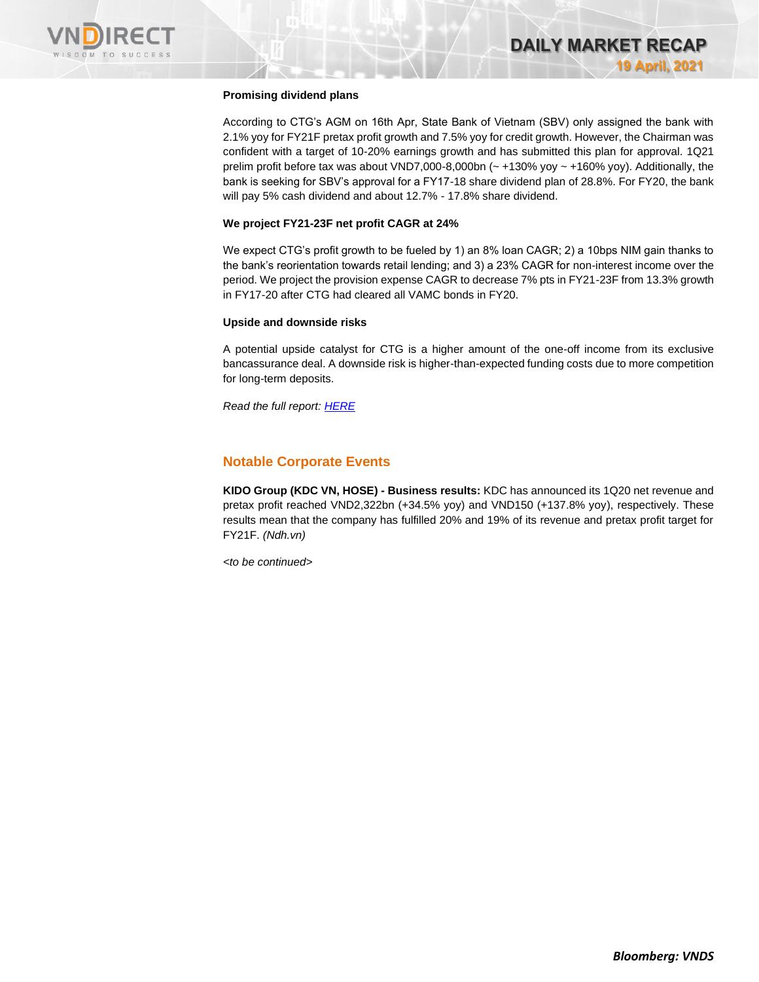

### **Promising dividend plans**

According to CTG's AGM on 16th Apr, State Bank of Vietnam (SBV) only assigned the bank with 2.1% yoy for FY21F pretax profit growth and 7.5% yoy for credit growth. However, the Chairman was confident with a target of 10-20% earnings growth and has submitted this plan for approval. 1Q21 prelim profit before tax was about VND7,000-8,000bn  $\left(\sim +130\%$  yoy  $\sim +160\%$  yoy). Additionally, the bank is seeking for SBV's approval for a FY17-18 share dividend plan of 28.8%. For FY20, the bank will pay 5% cash dividend and about 12.7% - 17.8% share dividend.

#### **We project FY21-23F net profit CAGR at 24%**

We expect CTG's profit growth to be fueled by 1) an 8% loan CAGR; 2) a 10bps NIM gain thanks to the bank's reorientation towards retail lending; and 3) a 23% CAGR for non-interest income over the period. We project the provision expense CAGR to decrease 7% pts in FY21-23F from 13.3% growth in FY17-20 after CTG had cleared all VAMC bonds in FY20.

#### **Upside and downside risks**

A potential upside catalyst for CTG is a higher amount of the one-off income from its exclusive bancassurance deal. A downside risk is higher-than-expected funding costs due to more competition for long-term deposits.

*Read the full report[: HERE](https://nhanha-public-api.vndirect.com.vn/click/OGE0ODlmZDA3NTYyMzU3MDAxNzU2MmUzNWNiMzEyMTE=/ZDQwYTM1MTkzOGJhNDBlNGIzN2YxZDU2NjkzMmQzYTQ=/d40a351938ba40e4b37f1d566932d3a4-CTG_Initiation_20210419.pdf/cmVzZWFyY2hAdm5kaXJlY3QuY29tLnZu/Mjk3OTM=)*

## **Notable Corporate Events**

**KIDO Group (KDC VN, HOSE) - Business results:** KDC has announced its 1Q20 net revenue and pretax profit reached VND2,322bn (+34.5% yoy) and VND150 (+137.8% yoy), respectively. These results mean that the company has fulfilled 20% and 19% of its revenue and pretax profit target for FY21F. *(Ndh.vn)*

*<to be continued>*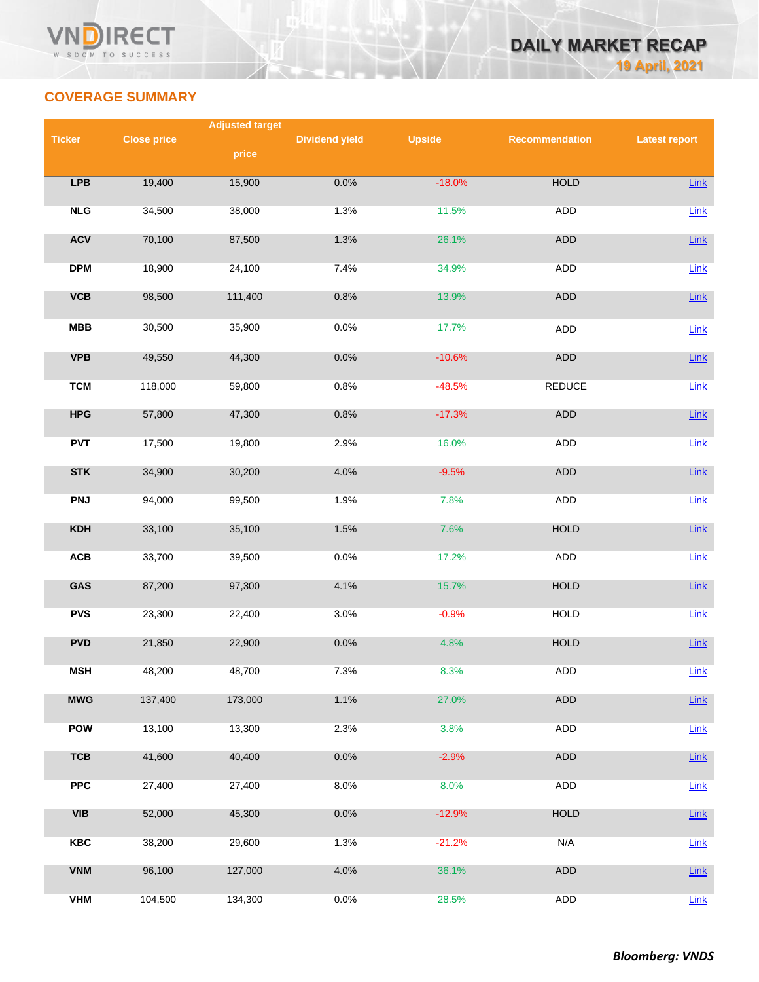

## **COVERAGE SUMMARY**

|               |                    | <b>Adjusted target</b> |                       |               |                |                      |
|---------------|--------------------|------------------------|-----------------------|---------------|----------------|----------------------|
| <b>Ticker</b> | <b>Close price</b> |                        | <b>Dividend yield</b> | <b>Upside</b> | Recommendation | <b>Latest report</b> |
|               |                    | price                  |                       |               |                |                      |
| <b>LPB</b>    | 19,400             | 15,900                 | 0.0%                  | $-18.0%$      | <b>HOLD</b>    | Link                 |
|               |                    |                        |                       |               |                |                      |
| NLG           | 34,500             | 38,000                 | 1.3%                  | 11.5%         | ADD            | Link                 |
|               |                    |                        |                       |               |                |                      |
| <b>ACV</b>    | 70,100             | 87,500                 | 1.3%                  | 26.1%         | ADD            | $Link$               |
| <b>DPM</b>    | 18,900             | 24,100                 | 7.4%                  | 34.9%         | <b>ADD</b>     | Link                 |
|               |                    |                        |                       |               |                |                      |
| <b>VCB</b>    | 98,500             | 111,400                | 0.8%                  | 13.9%         | <b>ADD</b>     | Link                 |
| MBB           | 30,500             | 35,900                 | 0.0%                  | 17.7%         | <b>ADD</b>     | Link                 |
|               |                    |                        |                       |               |                |                      |
| <b>VPB</b>    | 49,550             | 44,300                 | 0.0%                  | $-10.6%$      | <b>ADD</b>     | Link                 |
|               |                    |                        |                       |               |                |                      |
| <b>TCM</b>    | 118,000            | 59,800                 | 0.8%                  | $-48.5%$      | <b>REDUCE</b>  | Link                 |
| <b>HPG</b>    | 57,800             | 47,300                 | 0.8%                  | $-17.3%$      | ADD            | Link                 |
|               |                    |                        |                       |               |                |                      |
| <b>PVT</b>    | 17,500             | 19,800                 | 2.9%                  | 16.0%         | ADD            | Link                 |
| <b>STK</b>    | 34,900             | 30,200                 | 4.0%                  | $-9.5%$       | ADD            | Link                 |
|               |                    |                        |                       |               |                |                      |
| <b>PNJ</b>    | 94,000             | 99,500                 | 1.9%                  | 7.8%          | ADD            | Link                 |
|               |                    |                        |                       |               |                |                      |
| <b>KDH</b>    | 33,100             | 35,100                 | 1.5%                  | 7.6%          | <b>HOLD</b>    | Link                 |
| <b>ACB</b>    | 33,700             | 39,500                 | 0.0%                  | 17.2%         | <b>ADD</b>     | Link                 |
|               |                    |                        |                       |               |                |                      |
| GAS           | 87,200             | 97,300                 | 4.1%                  | 15.7%         | <b>HOLD</b>    | Link                 |
| <b>PVS</b>    | 23,300             | 22,400                 | 3.0%                  | $-0.9%$       | <b>HOLD</b>    | Link                 |
|               |                    |                        |                       |               |                |                      |
| <b>PVD</b>    | 21,850             | 22,900                 | 0.0%                  | 4.8%          | <b>HOLD</b>    | Link                 |
| <b>MSH</b>    | 48,200             | 48,700                 | 7.3%                  | 8.3%          | <b>ADD</b>     | Link                 |
|               |                    |                        |                       |               |                |                      |
| <b>MWG</b>    | 137,400            | 173,000                | 1.1%                  | 27.0%         | <b>ADD</b>     | Link                 |
|               |                    |                        |                       |               |                |                      |
| <b>POW</b>    | 13,100             | 13,300                 | 2.3%                  | 3.8%          | <b>ADD</b>     | Link                 |
| <b>TCB</b>    | 41,600             | 40,400                 | 0.0%                  | $-2.9%$       | ADD            | <b>Link</b>          |
|               |                    |                        |                       |               |                |                      |
| <b>PPC</b>    | 27,400             | 27,400                 | 8.0%                  | 8.0%          | ADD            | Link                 |
| <b>VIB</b>    | 52,000             | 45,300                 | 0.0%                  | $-12.9%$      | <b>HOLD</b>    | $Link$               |
|               |                    |                        |                       |               |                |                      |
| <b>KBC</b>    | 38,200             | 29,600                 | 1.3%                  | $-21.2%$      | N/A            | Link                 |
|               |                    |                        |                       |               |                |                      |
| <b>VNM</b>    | 96,100             | 127,000                | 4.0%                  | 36.1%         | ADD            | <b>Link</b>          |
| <b>VHM</b>    | 104,500            | 134,300                | 0.0%                  | 28.5%         | <b>ADD</b>     | Link                 |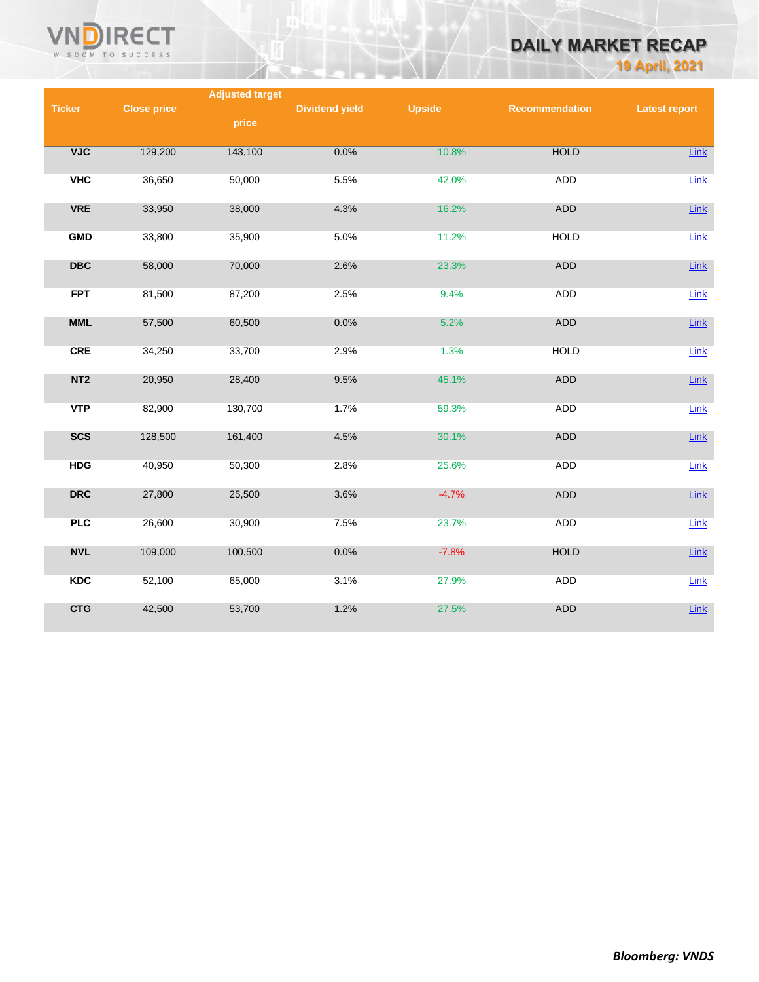

# **DAILY MARKET RECAP**

**19 April, 2021**

|                                             |                    | <b>Adjusted target</b> |                       |               |                       |                      |
|---------------------------------------------|--------------------|------------------------|-----------------------|---------------|-----------------------|----------------------|
| <b>Ticker</b>                               | <b>Close price</b> |                        | <b>Dividend yield</b> | <b>Upside</b> | <b>Recommendation</b> | <b>Latest report</b> |
|                                             |                    | price                  |                       |               |                       |                      |
|                                             |                    |                        |                       |               |                       |                      |
| VJC                                         | 129,200            | 143,100                | 0.0%                  | 10.8%         | <b>HOLD</b>           | <b>Link</b>          |
|                                             |                    |                        |                       |               |                       |                      |
| <b>VHC</b>                                  | 36,650             | 50,000                 | 5.5%                  | 42.0%         | <b>ADD</b>            | Link                 |
| <b>VRE</b>                                  | 33,950             | 38,000                 | 4.3%                  | 16.2%         | <b>ADD</b>            | Link                 |
|                                             |                    |                        |                       |               |                       |                      |
| <b>GMD</b>                                  | 33,800             | 35,900                 | 5.0%                  | 11.2%         | <b>HOLD</b>           | Link                 |
|                                             |                    |                        |                       |               |                       |                      |
| $\overline{\mathbf{D}}\mathbf{B}\mathbf{C}$ | 58,000             | 70,000                 | 2.6%                  | 23.3%         | <b>ADD</b>            | $Link$               |
|                                             |                    |                        |                       |               |                       |                      |
| <b>FPT</b>                                  | 81,500             | 87,200                 | 2.5%                  | 9.4%          | ADD                   | Link                 |
|                                             |                    |                        |                       |               |                       |                      |
| <b>MML</b>                                  | 57,500             | 60,500                 | 0.0%                  | 5.2%          | <b>ADD</b>            | $Link$               |
| <b>CRE</b>                                  | 34,250             | 33,700                 | 2.9%                  | 1.3%          | <b>HOLD</b>           | $Link$               |
|                                             |                    |                        |                       |               |                       |                      |
| NT <sub>2</sub>                             | 20,950             | 28,400                 | 9.5%                  | 45.1%         | ADD                   | Link                 |
|                                             |                    |                        |                       |               |                       |                      |
| <b>VTP</b>                                  | 82,900             | 130,700                | 1.7%                  | 59.3%         | <b>ADD</b>            | Link                 |
|                                             |                    |                        |                       |               |                       |                      |
| <b>SCS</b>                                  | 128,500            | 161,400                | 4.5%                  | 30.1%         | <b>ADD</b>            | Link                 |
| <b>HDG</b>                                  | 40,950             | 50,300                 | 2.8%                  | 25.6%         | <b>ADD</b>            | Link                 |
|                                             |                    |                        |                       |               |                       |                      |
| <b>DRC</b>                                  | 27,800             | 25,500                 | 3.6%                  | $-4.7%$       | <b>ADD</b>            | <b>Link</b>          |
|                                             |                    |                        |                       |               |                       |                      |
| <b>PLC</b>                                  | 26,600             | 30,900                 | 7.5%                  | 23.7%         | <b>ADD</b>            | Link                 |
|                                             |                    |                        |                       |               |                       |                      |
| <b>NVL</b>                                  | 109,000            | 100,500                | 0.0%                  | $-7.8%$       | <b>HOLD</b>           | $Link$               |
|                                             |                    |                        |                       |               |                       |                      |
| <b>KDC</b>                                  | 52,100             | 65,000                 | 3.1%                  | 27.9%         | <b>ADD</b>            | Link                 |
| <b>CTG</b>                                  | 42,500             | 53,700                 | 1.2%                  | 27.5%         | <b>ADD</b>            | Link                 |
|                                             |                    |                        |                       |               |                       |                      |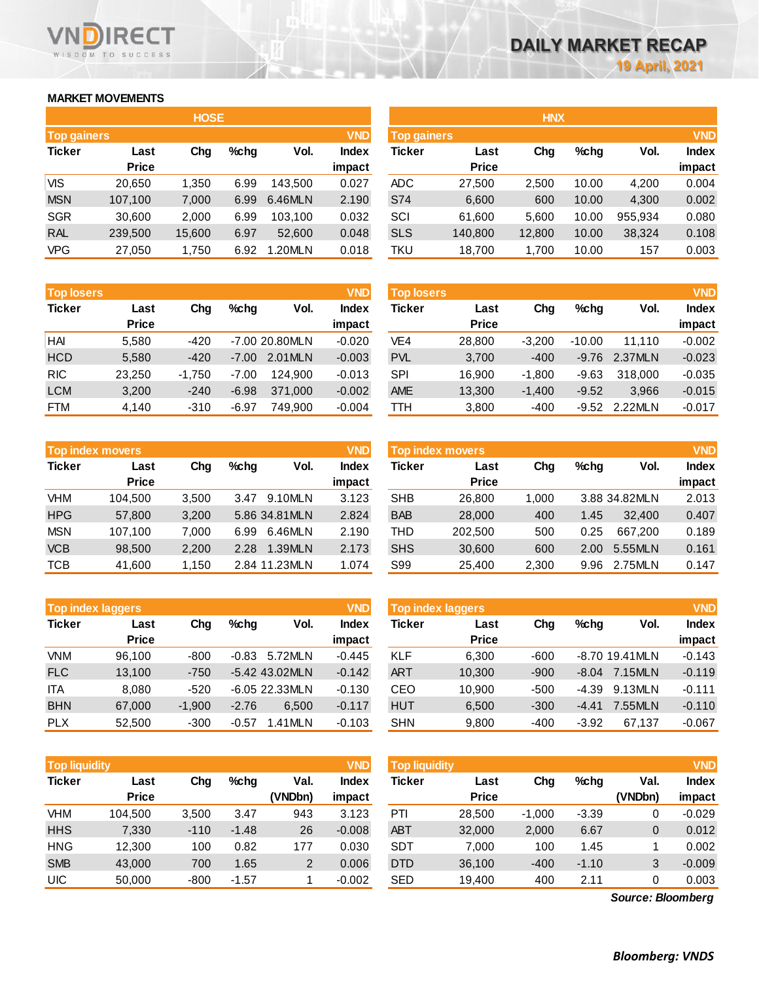## **MARKET MOVEMENTS**

WISDOM TO SUCCESS

ECT

|                                  | <b>HOSE</b>  |        |      |         |              |  |  |  |  |  |
|----------------------------------|--------------|--------|------|---------|--------------|--|--|--|--|--|
| <b>VND</b><br><b>Top gainers</b> |              |        |      |         |              |  |  |  |  |  |
| <b>Ticker</b>                    | Last         | Cha    | %chq | Vol.    | <b>Index</b> |  |  |  |  |  |
|                                  | <b>Price</b> |        |      |         | impact       |  |  |  |  |  |
| VIS                              | 20,650       | 1,350  | 6.99 | 143,500 | 0.027        |  |  |  |  |  |
| <b>MSN</b>                       | 107,100      | 7,000  | 6.99 | 6.46MLN | 2.190        |  |  |  |  |  |
| <b>SGR</b>                       | 30,600       | 2,000  | 6.99 | 103,100 | 0.032        |  |  |  |  |  |
| <b>RAL</b>                       | 239,500      | 15,600 | 6.97 | 52,600  | 0.048        |  |  |  |  |  |
| VPG                              | 27,050       | 1,750  | 6.92 | 1.20MLN | 0.018        |  |  |  |  |  |

| <b>Top losers</b> |              |          |         |                | <b>VND</b>   |
|-------------------|--------------|----------|---------|----------------|--------------|
| <b>Ticker</b>     | Last         | Cha      | $%$ chg | Vol.           | <b>Index</b> |
|                   | <b>Price</b> |          |         |                | impact       |
| HAI               | 5,580        | $-420$   |         | -7.00 20.80MLN | $-0.020$     |
| <b>HCD</b>        | 5,580        | $-420$   | $-7.00$ | 2.01MLN        | $-0.003$     |
| <b>RIC</b>        | 23,250       | $-1,750$ | $-7.00$ | 124.900        | $-0.013$     |
| <b>LCM</b>        | 3,200        | $-240$   | $-6.98$ | 371,000        | $-0.002$     |
| FTM               | 4,140        | $-310$   | $-6.97$ | 749,900        | $-0.004$     |

| <b>Top index movers</b> | <b>VND</b>   |       |         |               |              |
|-------------------------|--------------|-------|---------|---------------|--------------|
| <b>Ticker</b>           | Last         | Cha   | $%$ chg | Vol.          | <b>Index</b> |
|                         | <b>Price</b> |       |         |               | impact       |
| <b>VHM</b>              | 104,500      | 3,500 | 3.47    | 9.10MLN       | 3.123        |
| <b>HPG</b>              | 57,800       | 3,200 |         | 5.86 34.81MLN | 2.824        |
| <b>MSN</b>              | 107,100      | 7,000 | 6.99    | 6.46MLN       | 2.190        |
| <b>VCB</b>              | 98,500       | 2,200 | 2.28    | 1.39MLN       | 2.173        |
| <b>TCB</b>              | 41,600       | 1,150 |         | 2.84 11.23MLN | 1.074        |

|               | <b>Top index laggers</b> |          |         |                |              |  |  |  |
|---------------|--------------------------|----------|---------|----------------|--------------|--|--|--|
| <b>Ticker</b> | Last                     | Cha      | %chq    | Vol.           | <b>Index</b> |  |  |  |
|               | <b>Price</b>             |          |         |                | impact       |  |  |  |
| <b>VNM</b>    | 96,100                   | $-800$   | $-0.83$ | 5.72MLN        | $-0.445$     |  |  |  |
| <b>FLC</b>    | 13,100                   | $-750$   |         | -5.42 43.02MLN | $-0.142$     |  |  |  |
| ITA           | 8,080                    | $-520$   |         | -6.05 22.33MLN | $-0.130$     |  |  |  |
| <b>BHN</b>    | 67,000                   | $-1,900$ | $-2.76$ | 6.500          | $-0.117$     |  |  |  |
| <b>PLX</b>    | 52,500                   | $-300$   | -0.57   | 1.41MLN        | $-0.103$     |  |  |  |

| <b>VND</b><br><b>Top liquidity</b> |              |        |         |         |              |  |  |  |  |
|------------------------------------|--------------|--------|---------|---------|--------------|--|--|--|--|
| <b>Ticker</b>                      | Last         | Cha    | %chq    | Val.    | <b>Index</b> |  |  |  |  |
|                                    | <b>Price</b> |        |         | (VNDbn) | impact       |  |  |  |  |
| <b>VHM</b>                         | 104,500      | 3,500  | 3.47    | 943     | 3.123        |  |  |  |  |
| <b>HHS</b>                         | 7,330        | $-110$ | $-1.48$ | 26      | $-0.008$     |  |  |  |  |
| <b>HNG</b>                         | 12,300       | 100    | 0.82    | 177     | 0.030        |  |  |  |  |
| <b>SMB</b>                         | 43,000       | 700    | 1.65    | 2       | 0.006        |  |  |  |  |
| UIC                                | 50,000       | $-800$ | $-1.57$ | 1       | $-0.002$     |  |  |  |  |

|                    |              | <b>HOSE</b> |         |         |              |                    |              | <b>HNX</b> |         |         |              |
|--------------------|--------------|-------------|---------|---------|--------------|--------------------|--------------|------------|---------|---------|--------------|
| <b>Top gainers</b> |              |             |         |         | <b>VND</b>   | <b>Top gainers</b> |              |            |         |         | <b>VND</b>   |
| Ticker             | Last         | Chg         | $%$ chg | Vol.    | <b>Index</b> | Ticker             | Last         | Chg        | $%$ chg | Vol.    | <b>Index</b> |
|                    | <b>Price</b> |             |         |         | impact       |                    | <b>Price</b> |            |         |         | impact       |
| VIS                | 20,650       | 1.350       | 6.99    | 143.500 | 0.027        | <b>ADC</b>         | 27,500       | 2.500      | 10.00   | 4,200   | 0.004        |
| <b>MSN</b>         | 107,100      | 7,000       | 6.99    | 6.46MLN | 2.190        | S74                | 6,600        | 600        | 10.00   | 4,300   | 0.002        |
| <b>SGR</b>         | 30,600       | 2,000       | 6.99    | 103.100 | 0.032        | SCI                | 61,600       | 5,600      | 10.00   | 955.934 | 0.080        |
| <b>RAL</b>         | 239,500      | 15,600      | 6.97    | 52,600  | 0.048        | <b>SLS</b>         | 140,800      | 12,800     | 10.00   | 38,324  | 0.108        |
| VPG                | 27,050       | 1,750       | 6.92    | .20MLN  | 0.018        | TKU                | 18,700       | 1,700      | 10.00   | 157     | 0.003        |
|                    |              |             |         |         |              |                    |              |            |         |         |              |

| <b>Top losers</b> |                      |          |         |                  | <b>VND</b>             | <b>Top losers</b> |                      |          |          |         | <b>VND</b>             |
|-------------------|----------------------|----------|---------|------------------|------------------------|-------------------|----------------------|----------|----------|---------|------------------------|
| Ticker            | Last<br><b>Price</b> | Chg      | $%$ chg | Vol.             | <b>Index</b><br>impact | Ticker            | Last<br><b>Price</b> | Chg      | $%$ chg  | Vol.    | <b>Index</b><br>impact |
| HAI               | 5.580                | -420     |         | $-7.0020.80$ MLN | $-0.020$               | VE4               | 28,800               | $-3.200$ | $-10.00$ | 11.110  | $-0.002$               |
| HCD               | 5,580                | $-420$   | $-7.00$ | 2.01MLN          | $-0.003$               | <b>PVL</b>        | 3,700                | $-400$   | $-9.76$  | 2.37MLN | $-0.023$               |
| <b>RIC</b>        | 23.250               | $-1.750$ | $-7.00$ | 124.900          | $-0.013$               | SPI               | 16.900               | $-1.800$ | $-9.63$  | 318,000 | $-0.035$               |
| LCM               | 3,200                | $-240$   | $-6.98$ | 371.000          | $-0.002$               | <b>AME</b>        | 13,300               | $-1.400$ | $-9.52$  | 3.966   | $-0.015$               |
| FTM               | 4,140                | $-310$   | $-6.97$ | 749.900          | $-0.004$               | TTH               | 3,800                | $-400$   | $-9.52$  | 2.22MLN | $-0.017$               |

| <b>Top index movers</b> |                      |       |                |         | <b>VND</b>             |            | <b>Top index movers</b> |       |         |               | <b>VND</b>             |
|-------------------------|----------------------|-------|----------------|---------|------------------------|------------|-------------------------|-------|---------|---------------|------------------------|
| Ticker                  | Last<br><b>Price</b> | Chg   | %chq           | Vol.    | <b>Index</b><br>impact | Ticker     | Last<br><b>Price</b>    | Chg   | $%$ chg | Vol.          | <b>Index</b><br>impact |
| VHM                     | 104.500              | 3.500 | 3.47           | 9.10MLN | 3.123                  | <b>SHB</b> | 26,800                  | 1.000 |         | 3.88 34.82MLN | 2.013                  |
| HPG                     | 57,800               | 3,200 | 5.86 34.81 MLN |         | 2.824                  | <b>BAB</b> | 28,000                  | 400   | 1.45    | 32,400        | 0.407                  |
| MSN                     | 107.100              | 7.000 | 6.99           | 6.46MLN | 2.190                  | THD        | 202.500                 | 500   | 0.25    | 667.200       | 0.189                  |
| <b>VCB</b>              | 98,500               | 2,200 | 2.28           | 1.39MLN | 2.173                  | <b>SHS</b> | 30,600                  | 600   | 2.00    | 5.55MLN       | 0.161                  |
| тсв                     | 41.600               | 1.150 | 2.84 11.23MLN  |         | 1.074                  | S99        | 25.400                  | 2,300 | 9.96    | 2.75MLN       | 0.147                  |

|            | <b>Top index laggers</b> |          |                  |          | <b>VND</b>      | Top index laggers |                      |        |         |                  | <b>VND</b>             |
|------------|--------------------------|----------|------------------|----------|-----------------|-------------------|----------------------|--------|---------|------------------|------------------------|
| Ticker     | Last<br><b>Price</b>     | Chg      | $%$ chg          | Vol.     | Index<br>impact | Ticker            | Last<br><b>Price</b> | Chg    | $%$ chq | Vol.             | <b>Index</b><br>impact |
| VNM        | 96.100                   | $-800$   | $-0.83$          | 5.72MLN  | $-0.445$        | <b>KLF</b>        | 6.300                | $-600$ |         | $-8.70$ 19.41MLN | $-0.143$               |
| <b>FLC</b> | 13.100                   | $-750$   | $-5.42$ 43.02MLN |          | $-0.142$        | <b>ART</b>        | 10.300               | $-900$ | $-8.04$ | 7.15MLN          | $-0.119$               |
| ITA        | 8.080                    | $-520$   | $-6.05$ 22.33MLN |          | $-0.130$        | CEO               | 10.900               | $-500$ | $-4.39$ | 9.13MLN          | $-0.111$               |
| <b>BHN</b> | 67,000                   | $-1.900$ | $-2.76$          | 6.500    | $-0.117$        | <b>HUT</b>        | 6,500                | $-300$ | $-4.41$ | 7.55MLN          | $-0.110$               |
| <b>PLX</b> | 52,500                   | $-300$   | $-0.57$          | 1.41 MLN | $-0.103$        | <b>SHN</b>        | 9,800                | $-400$ | $-3.92$ | 67.137           | $-0.067$               |

| <b>Top liquidity</b> |                      |        |         |                 | <b>VND</b>             | <b>Top liquidity</b> |                      |          |         |                 | <b>VND</b>             |
|----------------------|----------------------|--------|---------|-----------------|------------------------|----------------------|----------------------|----------|---------|-----------------|------------------------|
| Ticker               | Last<br><b>Price</b> | Chg    | $%$ chg | Val.<br>(VNDbn) | <b>Index</b><br>impact | Ticker               | Last<br><b>Price</b> | Chg      | $%$ chg | Val.<br>(VNDbn) | <b>Index</b><br>impact |
| VHM                  | 104.500              | 3,500  | 3.47    | 943             | 3.123                  | PTI                  | 28,500               | $-1.000$ | $-3.39$ | 0               | $-0.029$               |
| HHS                  | 7,330                | $-110$ | $-1.48$ | 26              | $-0.008$               | <b>ABT</b>           | 32,000               | 2,000    | 6.67    | 0               | 0.012                  |
| HNG                  | 12.300               | 100    | 0.82    | 177             | 0.030                  | <b>SDT</b>           | 7.000                | 100      | 1.45    |                 | 0.002                  |
| <b>SMB</b>           | 43,000               | 700    | 1.65    | 2               | 0.006                  | <b>DTD</b>           | 36,100               | $-400$   | $-1.10$ | 3               | $-0.009$               |
| UIC                  | 50,000               | $-800$ | $-1.57$ |                 | $-0.002$               | <b>SED</b>           | 19.400               | 400      | 2.11    |                 | 0.003                  |

*Source: Bloomberg*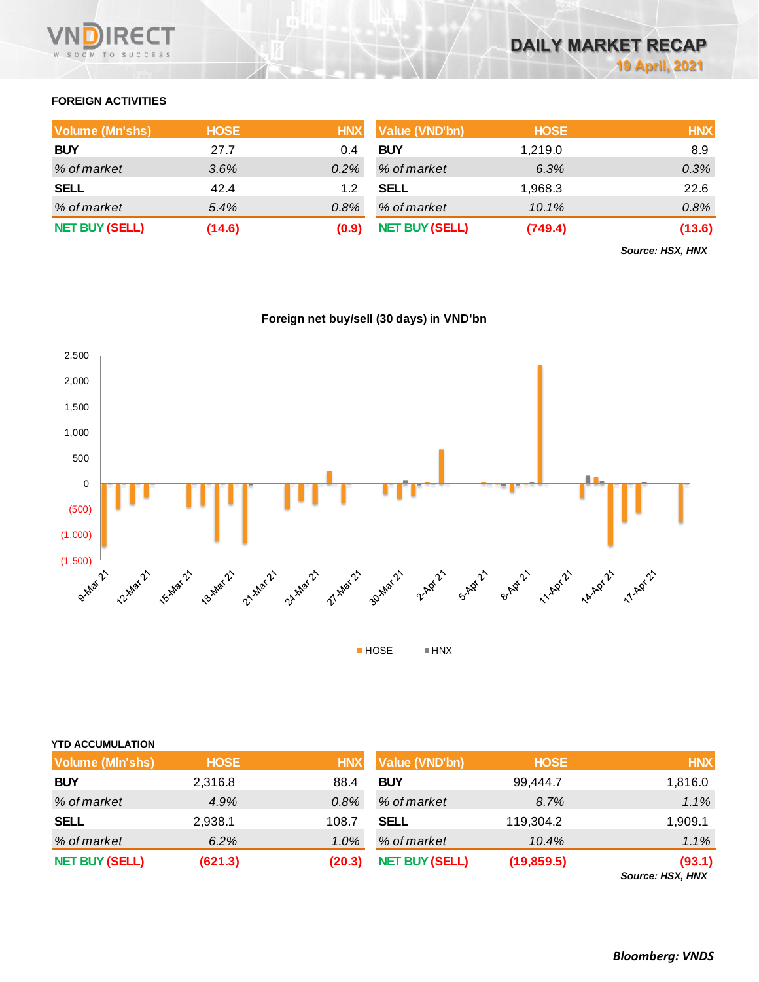

## **FOREIGN ACTIVITIES**

| <b>Volume (Mn'shs)</b> | <b>HOSE</b> | <b>HNX</b> | <b>Value (VND'bn)</b> | <b>HOSE</b> | <b>HNX</b> |
|------------------------|-------------|------------|-----------------------|-------------|------------|
| <b>BUY</b>             | 27.7        | 0.4        | <b>BUY</b>            | 1,219.0     | 8.9        |
| % of market            | 3.6%        | $0.2\%$    | % of market           | 6.3%        | 0.3%       |
| <b>SELL</b>            | 42.4        | 1.2        | <b>SELL</b>           | 1,968.3     | 22.6       |
| % of market            | 5.4%        | $0.8\%$    | % of market           | 10.1%       | 0.8%       |
| <b>NET BUY (SELL)</b>  | (14.6)      | (0.9)      | <b>NET BUY (SELL)</b> | (749.4)     | (13.6)     |

*Source: HSX, HNX*





| <b>YTD ACCUMULATION</b> |             |            |                       |             |                            |
|-------------------------|-------------|------------|-----------------------|-------------|----------------------------|
| <b>Volume (MIn'shs)</b> | <b>HOSE</b> | <b>HNX</b> | <b>Value (VND'bn)</b> | <b>HOSE</b> | <b>HNX</b>                 |
| <b>BUY</b>              | 2,316.8     | 88.4       | <b>BUY</b>            | 99,444.7    | 1,816.0                    |
| % of market             | 4.9%        | 0.8%       | % of market           | 8.7%        | 1.1%                       |
| <b>SELL</b>             | 2,938.1     | 108.7      | SELL                  | 119,304.2   | 1,909.1                    |
| % of market             | 6.2%        | $1.0\%$    | % of market           | 10.4%       | 1.1%                       |
| <b>NET BUY (SELL)</b>   | (621.3)     | (20.3)     | <b>NET BUY (SELL)</b> | (19, 859.5) | (93.1)<br>Source: HSX, HNX |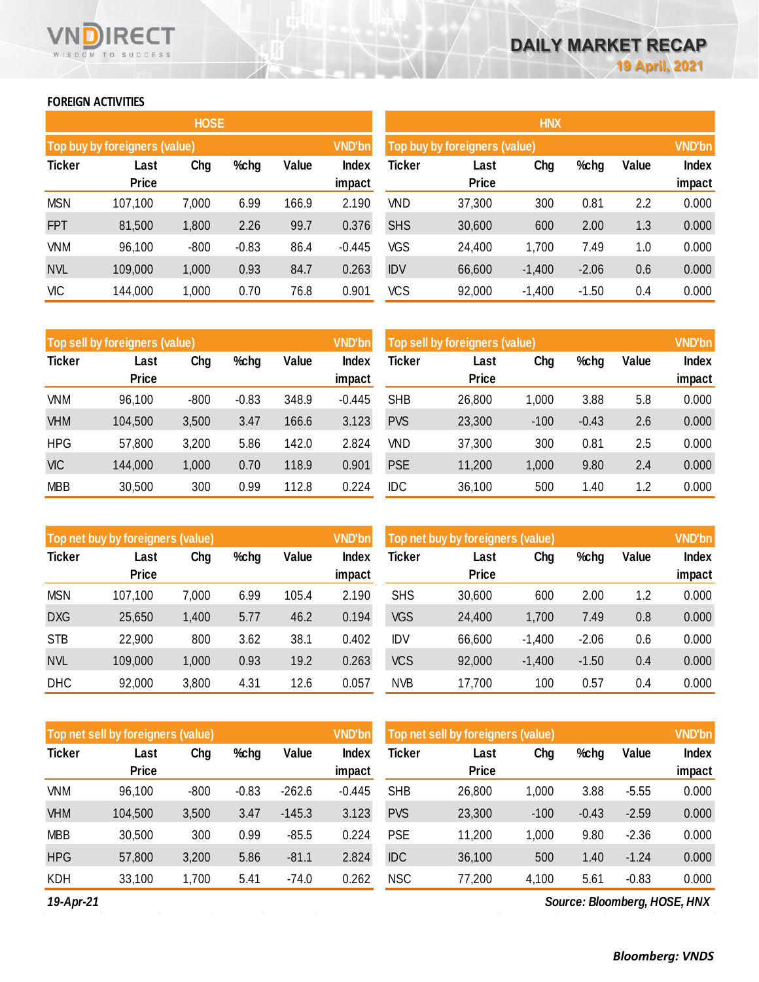## **FOREIGN ACTIVITIES**

WISDOM TO SUCCESS

**RECT** 

|               |                               | <b>HOSE</b> |         |       |                 |            |                               | <b>HNX</b> |         |       |                 |
|---------------|-------------------------------|-------------|---------|-------|-----------------|------------|-------------------------------|------------|---------|-------|-----------------|
|               | Top buy by foreigners (value) |             |         |       | <b>VND'bn</b>   |            | Top buy by foreigners (value) |            |         |       | <b>VND'bn</b>   |
| <b>Ticker</b> | Last<br><b>Price</b>          | Chg         | %chg    | Value | Index<br>impact | Ticker     | Last<br><b>Price</b>          | Chg        | %chg    | Value | Index<br>impact |
| <b>MSN</b>    | 107,100                       | 7,000       | 6.99    | 166.9 | 2.190           | <b>VND</b> | 37,300                        | 300        | 0.81    | 2.2   | 0.000           |
| <b>FPT</b>    | 81,500                        | 1,800       | 2.26    | 99.7  | 0.376           | <b>SHS</b> | 30,600                        | 600        | 2.00    | 1.3   | 0.000           |
| <b>VNM</b>    | 96,100                        | $-800$      | $-0.83$ | 86.4  | $-0.445$        | <b>VGS</b> | 24,400                        | 1,700      | 7.49    | 1.0   | 0.000           |
| <b>NVL</b>    | 109,000                       | 1,000       | 0.93    | 84.7  | 0.263           | <b>IDV</b> | 66,600                        | $-1,400$   | $-2.06$ | 0.6   | 0.000           |
| <b>VIC</b>    | 144,000                       | 1,000       | 0.70    | 76.8  | 0.901           | <b>VCS</b> | 92,000                        | $-1,400$   | $-1.50$ | 0.4   | 0.000           |

|               | Top sell by foreigners (value) |        |         |       | <b>VND'bn</b>   |               | Top sell by foreigners (value) |        |         |       | <b>VND'bn</b>   |
|---------------|--------------------------------|--------|---------|-------|-----------------|---------------|--------------------------------|--------|---------|-------|-----------------|
| <b>Ticker</b> | Last<br><b>Price</b>           | Chg    | %chg    | Value | Index<br>impact | <b>Ticker</b> | Last<br><b>Price</b>           | Chg    | %chg    | Value | Index<br>impact |
| <b>VNM</b>    | 96,100                         | $-800$ | $-0.83$ | 348.9 | $-0.445$        | <b>SHB</b>    | 26,800                         | 1,000  | 3.88    | 5.8   | 0.000           |
| <b>VHM</b>    | 104,500                        | 3,500  | 3.47    | 166.6 | 3.123           | <b>PVS</b>    | 23,300                         | $-100$ | $-0.43$ | 2.6   | 0.000           |
| <b>HPG</b>    | 57,800                         | 3,200  | 5.86    | 142.0 | 2.824           | <b>VND</b>    | 37,300                         | 300    | 0.81    | 2.5   | 0.000           |
| <b>VIC</b>    | 144,000                        | 1,000  | 0.70    | 118.9 | 0.901           | <b>PSE</b>    | 11,200                         | 1,000  | 9.80    | 2.4   | 0.000           |
| <b>MBB</b>    | 30,500                         | 300    | 0.99    | 112.8 | 0.224           | <b>IDC</b>    | 36,100                         | 500    | 1.40    | 1.2   | 0.000           |

|               | Top net buy by foreigners (value) |       |      |       | <b>VND'bn</b>   | Top net buy by foreigners (value) |                      | <b>VND'bn</b> |         |       |                        |
|---------------|-----------------------------------|-------|------|-------|-----------------|-----------------------------------|----------------------|---------------|---------|-------|------------------------|
| <b>Ticker</b> | Last<br><b>Price</b>              | Chg   | %chg | Value | Index<br>impact | Ticker                            | Last<br><b>Price</b> | Chg           | %chg    | Value | <b>Index</b><br>impact |
|               |                                   |       |      |       |                 |                                   |                      |               |         |       |                        |
| <b>MSN</b>    | 107,100                           | 7,000 | 6.99 | 105.4 | 2.190           | <b>SHS</b>                        | 30,600               | 600           | 2.00    | 1.2   | 0.000                  |
| <b>DXG</b>    | 25,650                            | 1,400 | 5.77 | 46.2  | 0.194           | <b>VGS</b>                        | 24,400               | 1,700         | 7.49    | 0.8   | 0.000                  |
| <b>STB</b>    | 22,900                            | 800   | 3.62 | 38.1  | 0.402           | <b>IDV</b>                        | 66,600               | $-1,400$      | $-2.06$ | 0.6   | 0.000                  |
| <b>NVL</b>    | 109,000                           | 1,000 | 0.93 | 19.2  | 0.263           | <b>VCS</b>                        | 92,000               | $-1,400$      | $-1.50$ | 0.4   | 0.000                  |
| <b>DHC</b>    | 92,000                            | 3,800 | 4.31 | 12.6  | 0.057           | <b>NVB</b>                        | 17,700               | 100           | 0.57    | 0.4   | 0.000                  |

|               | Top net sell by foreigners (value) |        |         |          | <b>VND'bn</b>   |            | Top net sell by foreigners (value) |        |         |         | <b>VND'bn</b>   |
|---------------|------------------------------------|--------|---------|----------|-----------------|------------|------------------------------------|--------|---------|---------|-----------------|
| <b>Ticker</b> | Last<br><b>Price</b>               | Chg    | $%$ chg | Value    | Index<br>impact | Ticker     | Last<br><b>Price</b>               | Chg    | %chg    | Value   | Index<br>impact |
| <b>VNM</b>    | 96,100                             | $-800$ | $-0.83$ | $-262.6$ | $-0.445$        | <b>SHB</b> | 26,800                             | 1,000  | 3.88    | $-5.55$ | 0.000           |
| <b>VHM</b>    | 104,500                            | 3,500  | 3.47    | $-145.3$ | 3.123           | <b>PVS</b> | 23,300                             | $-100$ | $-0.43$ | $-2.59$ | 0.000           |
| <b>MBB</b>    | 30,500                             | 300    | 0.99    | $-85.5$  | 0.224           | <b>PSE</b> | 11,200                             | 1,000  | 9.80    | $-2.36$ | 0.000           |
| <b>HPG</b>    | 57,800                             | 3,200  | 5.86    | $-81.1$  | 2.824           | <b>IDC</b> | 36,100                             | 500    | 1.40    | $-1.24$ | 0.000           |
| <b>KDH</b>    | 33,100                             | 1,700  | 5.41    | $-74.0$  | 0.262           | <b>NSC</b> | 77,200                             | 4,100  | 5.61    | $-0.83$ | 0.000           |

*19-Apr-21*

*Source: Bloomberg, HOSE, HNX*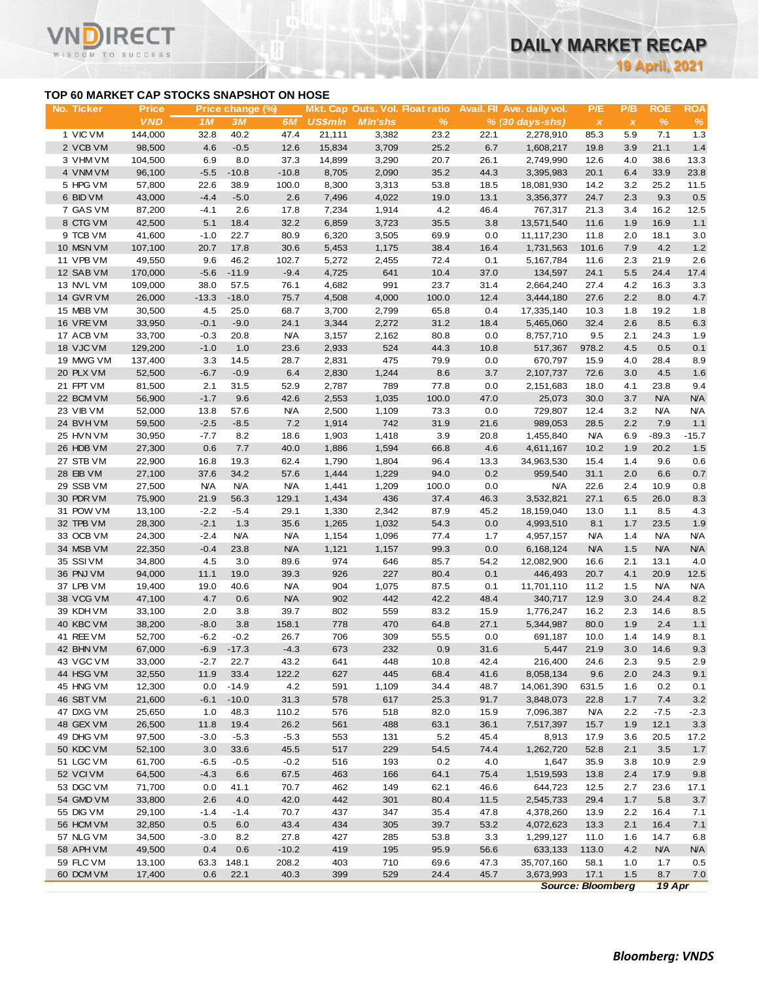# **DAILY MARKET RECAP**

**19 April, 2021**

## **TOP 60 MARKET CAP STOCKS SNAPSHOT ON HOSE**

|                                           |                       |            |                  |                   |                          |                                 |                       |      |                                |                      |                     | <b>19 April, 2021</b> |            |
|-------------------------------------------|-----------------------|------------|------------------|-------------------|--------------------------|---------------------------------|-----------------------|------|--------------------------------|----------------------|---------------------|-----------------------|------------|
| TOP 60 MARKET CAP STOCKS SNAPSHOT ON HOSE |                       |            |                  |                   |                          |                                 |                       |      |                                |                      |                     |                       |            |
| No. Ticker                                | <b>Price</b>          |            | Price change (%) |                   |                          | Mkt. Cap Outs. Vol. Float ratio |                       |      | Avail. Fil Ave. daily vol.     | P/E                  | P/B                 | <b>ROE</b>            | <b>ROA</b> |
| 1 VIC VM                                  | <b>VND</b><br>144,000 | 1M<br>32.8 | 3M<br>40.2       | 6M<br>47.4        | <b>US\$mln</b><br>21,111 | <b>MIn'shs</b><br>3,382         | $\frac{9}{6}$<br>23.2 | 22.1 | $% (30 days-shs)$<br>2,278,910 | $\pmb{\chi}$<br>85.3 | $\pmb{\chi}$<br>5.9 | $\%$<br>7.1           | 1.3        |
| 2 VCB VM                                  | 98,500                | 4.6        | $-0.5$           | 12.6              | 15,834                   | 3,709                           | 25.2                  | 6.7  | 1,608,217                      | 19.8                 | 3.9                 | 21.1                  | 1.4        |
| 3 VHM VM                                  | 104,500               | 6.9        | 8.0              | 37.3              | 14,899                   | 3,290                           | 20.7                  | 26.1 | 2,749,990                      | 12.6                 | 4.0                 | 38.6                  | 13.3       |
| 4 VNM VM                                  | 96,100                | $-5.5$     | $-10.8$          | $-10.8$           | 8,705                    | 2,090                           | 35.2                  | 44.3 | 3,395,983                      | 20.1                 | 6.4                 | 33.9                  | 23.8       |
| 5 HPG VM                                  | 57,800                | 22.6       | 38.9             | 100.0             | 8,300                    | 3,313                           | 53.8                  | 18.5 | 18,081,930                     | 14.2                 | 3.2                 | 25.2                  | 11.5       |
| 6 BID VM                                  | 43,000                | $-4.4$     | $-5.0$           | 2.6               | 7,496                    | 4,022                           | 19.0                  | 13.1 | 3,356,377                      | 24.7                 | 2.3                 | 9.3                   | 0.5        |
| 7 GAS VM                                  | 87,200                | $-4.1$     | 2.6              | 17.8              | 7,234                    | 1,914                           | 4.2                   | 46.4 | 767,317                        | 21.3                 | 3.4                 | 16.2                  | 12.5       |
| 8 CTG VM                                  | 42,500                | 5.1        | 18.4             | 32.2              | 6,859                    | 3,723                           | 35.5                  | 3.8  | 13,571,540                     | 11.6                 | 1.9                 | 16.9                  | 1.1        |
| 9 TCB VM                                  | 41,600                | $-1.0$     | 22.7             | 80.9              | 6,320                    | 3,505                           | 69.9                  | 0.0  | 11,117,230                     | 11.8                 | 2.0                 | 18.1                  |            |
| 10 MSN VM                                 | 107,100               | 20.7       | 17.8             | 30.6              | 5,453                    | 1,175                           | 38.4                  | 16.4 | 1,731,563                      | 101.6                | 7.9                 | 4.2                   |            |
| 11 VPB VM                                 | 49,550                | 9.6        | 46.2             | 102.7             | 5,272                    | 2,455                           | 72.4                  | 0.1  | 5,167,784                      | 11.6                 | 2.3                 | 21.9                  |            |
| 12 SAB VM                                 | 170,000               | $-5.6$     | $-11.9$          | $-9.4$            | 4,725                    | 641                             | 10.4                  | 37.0 | 134,597                        | 24.1                 | 5.5                 | 24.4                  | 17.4       |
| 13 NVL VM                                 | 109,000               | 38.0       | 57.5             | 76.1              | 4,682                    | 991                             | 23.7                  | 31.4 | 2,664,240                      | 27.4                 | 4.2                 | 16.3                  |            |
| 14 GVR VM                                 | 26,000                | $-13.3$    | $-18.0$          | 75.7              | 4,508                    | 4,000                           | 100.0                 | 12.4 | 3,444,180                      | 27.6                 | 2.2                 | 8.0                   |            |
| 15 MBB VM                                 | 30,500                | 4.5        | 25.0             | 68.7              | 3,700                    | 2,799                           | 65.8                  | 0.4  | 17,335,140                     | 10.3                 | 1.8                 | 19.2                  |            |
| 16 VRE VM                                 | 33,950                | $-0.1$     | $-9.0$           | 24.1              | 3,344                    | 2,272                           | 31.2                  | 18.4 | 5,465,060                      | 32.4                 | 2.6                 | 8.5                   |            |
| 17 ACB VM                                 | 33,700                | $-0.3$     | 20.8             | <b>N/A</b>        | 3,157                    | 2,162                           | 80.8                  | 0.0  | 8,757,710                      | 9.5                  | 2.1                 | 24.3                  |            |
| 18 VJC VM                                 | 129,200               | $-1.0$     | 1.0              | 23.6              | 2,933                    | 524                             | 44.3                  | 10.8 | 517,367                        | 978.2                | 4.5                 | 0.5                   |            |
| 19 MWG VM                                 | 137,400               | 3.3        | 14.5             | 28.7              | 2,831                    | 475                             | 79.9                  | 0.0  | 670,797                        | 15.9                 | 4.0                 | 28.4                  |            |
| 20 PLX VM                                 | 52,500                | $-6.7$     | $-0.9$           | 6.4               | 2,830                    | 1,244                           | 8.6                   | 3.7  | 2,107,737                      | 72.6                 | 3.0                 | 4.5                   |            |
| 21 FPT VM                                 | 81,500                | 2.1        | 31.5             | 52.9              | 2,787                    | 789                             | 77.8                  | 0.0  | 2,151,683                      | 18.0                 | 4.1                 | 23.8                  |            |
| 22 BCM VM                                 | 56,900                | $-1.7$     | 9.6              | 42.6              | 2,553                    | 1,035                           | 100.0                 | 47.0 | 25,073                         | 30.0                 | 3.7                 | <b>N/A</b>            |            |
| 23 VIB VM                                 | 52,000                | 13.8       | 57.6             | <b>N/A</b>        | 2,500                    | 1,109                           | 73.3                  | 0.0  | 729,807                        | 12.4                 | 3.2                 | <b>N/A</b>            |            |
| 24 BVHVM                                  | 59,500                | $-2.5$     | $-8.5$           | 7.2               | 1,914                    | 742                             | 31.9                  | 21.6 | 989,053                        | 28.5                 | 2.2                 | 7.9                   |            |
| 25 HVN VM                                 |                       | $-7.7$     | 8.2              | 18.6              |                          | 1,418                           | 3.9                   | 20.8 | 1,455,840                      | <b>N/A</b>           | 6.9                 | $-89.3$               | $-15.7$    |
| 26 HDB VM                                 | 30,950<br>27,300      |            | 7.7              | 40.0              | 1,903<br>1,886           | 1,594                           |                       | 4.6  |                                | 10.2                 | 1.9                 | 20.2                  |            |
| 27 STB VM                                 |                       | 0.6        |                  |                   |                          |                                 | 66.8                  |      | 4,611,167                      |                      |                     |                       |            |
|                                           | 22,900                | 16.8       | 19.3             | 62.4              | 1,790                    | 1,804                           | 96.4                  | 13.3 | 34,963,530                     | 15.4                 | 1.4                 | 9.6<br>6.6            |            |
| 28 EIB VM                                 | 27,100                | 37.6       | 34.2             | 57.6              | 1,444                    | 1,229                           | 94.0                  | 0.2  | 959,540                        | 31.1                 | 2.0                 |                       |            |
| 29 SSB VM                                 | 27,500                | <b>N/A</b> | <b>N/A</b>       | <b>N/A</b>        | 1,441                    | 1,209                           | 100.0                 | 0.0  | <b>N/A</b>                     | 22.6                 | 2.4                 | 10.9                  |            |
| 30 PDR VM                                 | 75,900                | 21.9       | 56.3<br>$-5.4$   | 129.1             | 1,434                    | 436                             | 37.4                  | 46.3 | 3,532,821                      | 27.1                 | 6.5                 | 26.0<br>8.5           |            |
| 31 POW VM<br>32 TPB VM                    | 13,100                | $-2.2$     |                  | 29.1              | 1,330                    | 2,342                           | 87.9                  | 45.2 | 18,159,040                     | 13.0                 | 1.1                 |                       |            |
|                                           | 28,300                | $-2.1$     | 1.3              | 35.6              | 1,265                    | 1,032                           | 54.3                  | 0.0  | 4,993,510                      | 8.1                  | 1.7                 | 23.5                  |            |
| 33 OCB VM<br>34 MSB VM                    | 24,300                | $-2.4$     | <b>N/A</b>       | <b>N/A</b>        | 1,154                    | 1,096                           | 77.4                  | 1.7  | 4,957,157                      | <b>N/A</b>           | 1.4                 | N/A<br><b>N/A</b>     |            |
| 35 SSIVM                                  | 22,350                | $-0.4$     | 23.8             | <b>N/A</b>        | 1,121                    | 1,157                           | 99.3                  | 0.0  | 6,168,124                      | <b>N/A</b>           | 1.5                 |                       |            |
|                                           | 34,800                | 4.5        | 3.0              | 89.6              | 974                      | 646                             | 85.7                  | 54.2 | 12,082,900                     | 16.6                 | 2.1                 | 13.1                  |            |
| 36 PNJ VM                                 | 94,000                | 11.1       | 19.0             | 39.3              | 926                      | 227                             | 80.4                  | 0.1  | 446,493                        | 20.7                 | 4.1                 | 20.9                  |            |
| 37 LPB VM                                 | 19,400                | 19.0       | 40.6             | <b>N/A</b><br>N/A | 904<br>902               | 1,075                           | 87.5                  | 0.1  | 11,701,110                     | 11.2                 | 1.5                 | N/A                   |            |
| 38 VCG VM                                 | 47,100                | 4.7        | 0.6              |                   |                          | 442                             | 42.2                  | 48.4 | 340,717                        | 12.9                 | 3.0                 | 24.4                  |            |
| 39 KDH VM                                 | 33,100                | 2.0        | 3.8              | 39.7              | 802                      | 559                             | 83.2                  | 15.9 | 1,776,247                      | 16.2                 | 2.3                 | 14.6                  |            |
| 40 KBC VM                                 | 38,200                | $-8.0$     | 3.8              | 158.1             | 778                      | 470                             | 64.8                  | 27.1 | 5,344,987                      | 80.0                 | 1.9                 | 2.4                   |            |
| 41 REE VM                                 | 52,700                | $-6.2$     | $-0.2$           | 26.7              | 706                      | 309                             | 55.5                  | 0.0  | 691,187                        | 10.0                 | 1.4                 | 14.9                  |            |
| 42 BHN VM                                 | 67,000                | $-6.9$     | $-17.3$          | $-4.3$            | 673                      | 232                             | 0.9                   | 31.6 | 5,447                          | 21.9                 | 3.0                 | 14.6                  |            |
| 43 VGC VM                                 | 33,000                | $-2.7$     | 22.7             | 43.2              | 641                      | 448                             | 10.8                  | 42.4 | 216,400                        | 24.6                 | 2.3                 | 9.5                   |            |
| 44 HSG VM                                 | 32,550                | 11.9       | 33.4             | 122.2             | 627                      | 445                             | 68.4                  | 41.6 | 8,058,134                      | 9.6                  | 2.0                 | 24.3                  |            |
| 45 HNG VM                                 | 12,300                | 0.0        | $-14.9$          | 4.2               | 591                      | 1,109                           | 34.4                  | 48.7 | 14,061,390                     | 631.5                | 1.6                 | 0.2                   |            |
| 46 SBT VM                                 | 21,600                | $-6.1$     | $-10.0$          | 31.3              | 578                      | 617                             | 25.3                  | 91.7 | 3,848,073                      | 22.8                 | 1.7                 | 7.4                   |            |
| 47 DXG VM                                 | 25,650                | 1.0        | 48.3             | 110.2             | 576                      | 518                             | 82.0                  | 15.9 | 7,096,387                      | <b>N/A</b>           | 2.2                 | $-7.5$                |            |
| 48 GEX VM                                 | 26,500                | 11.8       | 19.4             | 26.2              | 561                      | 488                             | 63.1                  | 36.1 | 7,517,397                      | 15.7                 | 1.9                 | 12.1                  |            |
| 49 DHG VM                                 | 97,500                | $-3.0$     | $-5.3$           | $-5.3$            | 553                      | 131                             | 5.2                   | 45.4 | 8,913                          | 17.9                 | 3.6                 | 20.5                  |            |
| 50 KDC VM                                 | 52,100                | 3.0        | 33.6             | 45.5              | 517                      | 229                             | 54.5                  | 74.4 | 1,262,720                      | 52.8                 | 2.1                 | 3.5                   |            |
| 51 LGC VM                                 | 61,700                | -6.5       | $-0.5$           | $-0.2$            | 516                      | 193                             | 0.2                   | 4.0  | 1,647                          | 35.9                 | 3.8                 | 10.9                  |            |
| 52 VCI VM                                 | 64,500                | $-4.3$     | 6.6              | 67.5              | 463                      | 166                             | 64.1                  | 75.4 | 1,519,593                      | 13.8                 | 2.4                 | 17.9                  |            |
| 53 DGC VM                                 | 71,700                | 0.0        | 41.1             | 70.7              | 462                      | 149                             | 62.1                  | 46.6 | 644,723                        | 12.5                 | 2.7                 | 23.6                  |            |
| 54 GMD VM                                 | 33,800                | 2.6        | 4.0              | 42.0              | 442                      | 301                             | 80.4                  | 11.5 | 2,545,733                      | 29.4                 | 1.7                 | 5.8                   |            |
| 55 DIG VM                                 | 29,100                | $-1.4$     | $-1.4$           | 70.7              | 437                      | 347                             | 35.4                  | 47.8 | 4,378,260                      | 13.9                 | 2.2                 | 16.4                  |            |
| 56 HCM VM                                 | 32,850                | 0.5        | 6.0              | 43.4              | 434                      | 305                             | 39.7                  | 53.2 | 4,072,623                      | 13.3                 | 2.1                 | 16.4                  |            |
| 57 NLG VM                                 | 34,500                | $-3.0$     | 8.2              | 27.8              | 427                      | 285                             | 53.8                  | 3.3  | 1,299,127                      | 11.0                 | 1.6                 | 14.7                  |            |
| 58 APH VM                                 | 49,500                | 0.4        | 0.6              | $-10.2$           | 419                      | 195                             | 95.9                  | 56.6 | 633,133                        | 113.0                | 4.2                 | <b>N/A</b>            |            |
| 59 FLC VM<br>60 DCM VM                    | 13,100                | 63.3       | 148.1            | 208.2             | 403                      | 710                             | 69.6<br>24.4          | 47.3 | 35,707,160                     | 58.1<br>17.1         | 1.0                 | 1.7                   |            |
|                                           | 17,400                | 0.6        | 22.1             | 40.3              | 399                      | 529                             |                       | 45.7 | 3,673,993                      |                      | 1.5                 | 8.7                   |            |